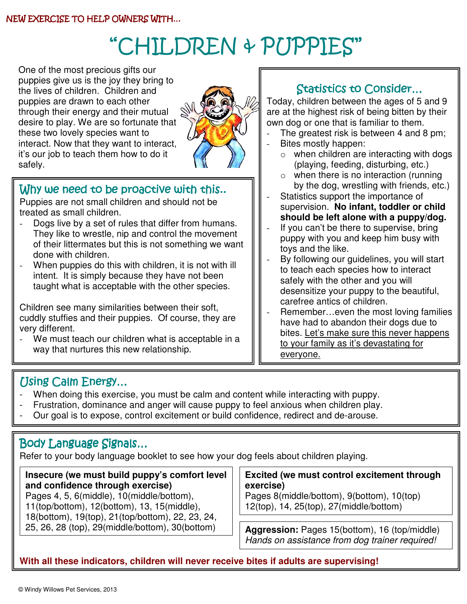# "CHILDREN & PUPPIES"

 One of the most precious gifts our me lives of enfight. Of fight and<br>puppies are drawn to each other through their energy and their mutual puppies give us is the joy they bring to the lives of children. Children and desire to play. We are so fortunate that these two lovely species want to interact. Now that they want to interact, it's our job to teach them how to do it safely.



## Why we need to be proactive with this..

Puppies are not small children and should not be treated as small children.

- Dogs live by a set of rules that differ from humans. They like to wrestle, nip and control the movement of their littermates but this is not something we want done with children.
- When puppies do this with children, it is not with ill intent. It is simply because they have not been taught what is acceptable with the other species.

Children see many similarities between their soft, cuddly stuffies and their puppies. Of course, they are very different.

We must teach our children what is acceptable in a way that nurtures this new relationship.

## Statistics to Consider…

Today, children between the ages of 5 and 9 are at the highest risk of being bitten by their own dog or one that is familiar to them.

- The greatest risk is between 4 and 8 pm;
- Bites mostly happen:
	- $\circ$  when children are interacting with dogs (playing, feeding, disturbing, etc.)
	- $\circ$  when there is no interaction (running by the dog, wrestling with friends, etc.)
- Statistics support the importance of supervision. **No infant, toddler or child should be left alone with a puppy/dog.**
- If you can't be there to supervise, bring puppy with you and keep him busy with toys and the like.
- By following our guidelines, you will start to teach each species how to interact safely with the other and you will desensitize your puppy to the beautiful, carefree antics of children.
- Remember...even the most loving families have had to abandon their dogs due to bites. Let's make sure this never happens to your family as it's devastating for everyone.

#### Using Calm Energy…

- When doing this exercise, you must be calm and content while interacting with puppy.
- Frustration, dominance and anger will cause puppy to feel anxious when children play.
- Our goal is to expose, control excitement or build confidence, redirect and de-arouse.

#### Body Language Signals…

Refer to your body language booklet to see how your dog feels about children playing.

**Insecure (we must build puppy's comfort level and confidence through exercise)**  Pages 4, 5, 6(middle), 10(middle/bottom), 11(top/bottom), 12(bottom), 13, 15(middle), 18(bottom), 19(top), 21(top/bottom), 22, 23, 24,

#### **Excited (we must control excitement through exercise)**

Pages 8(middle/bottom), 9(bottom), 10(top) 12(top), 14, 25(top), 27(middle/bottom)

Aggression: Pages 15(bottom), 16 (top/middle) Hands on assistance from dog trainer required!

**With all these indicators, children will never receive bites if adults are supervising!**